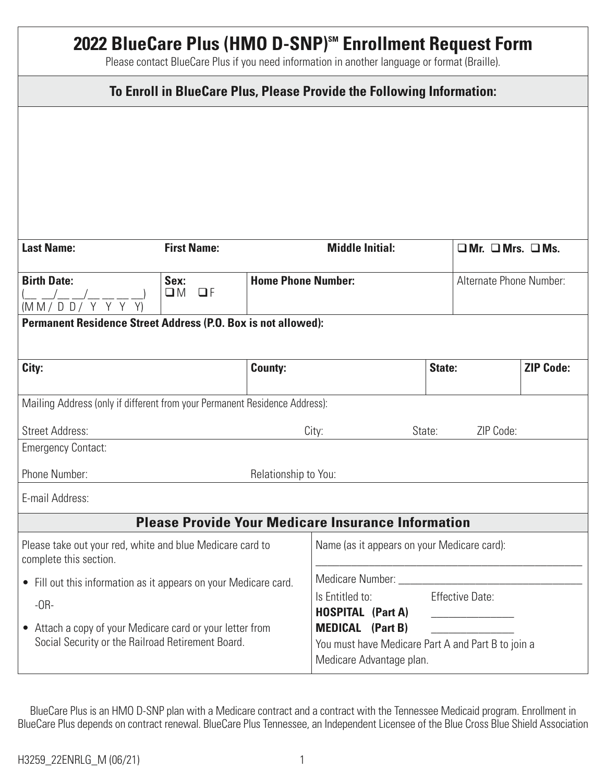| 2022 BlueCare Plus (HMO D-SNP) <sup>SM</sup> Enrollment Request Form<br>Please contact BlueCare Plus if you need information in another language or format (Braille). |                                 |                           |                                                                                                           |           |                                   |                  |  |  |
|-----------------------------------------------------------------------------------------------------------------------------------------------------------------------|---------------------------------|---------------------------|-----------------------------------------------------------------------------------------------------------|-----------|-----------------------------------|------------------|--|--|
| To Enroll in BlueCare Plus, Please Provide the Following Information:                                                                                                 |                                 |                           |                                                                                                           |           |                                   |                  |  |  |
|                                                                                                                                                                       |                                 |                           |                                                                                                           |           |                                   |                  |  |  |
| <b>Last Name:</b>                                                                                                                                                     | <b>First Name:</b>              |                           | <b>Middle Initial:</b>                                                                                    |           | $\Box$ Mr. $\Box$ Mrs. $\Box$ Ms. |                  |  |  |
| <b>Birth Date:</b><br>$\frac{(-1)^{n} - (-1)^{n}}{(\text{M M / D D / Y + Y + Y)})}$                                                                                   | Sex:<br>$\Box F$<br>$\square$ M | <b>Home Phone Number:</b> |                                                                                                           |           | Alternate Phone Number:           |                  |  |  |
| <b>Permanent Residence Street Address (P.O. Box is not allowed):</b>                                                                                                  |                                 |                           |                                                                                                           |           |                                   |                  |  |  |
| City:                                                                                                                                                                 |                                 | <b>County:</b>            |                                                                                                           | State:    |                                   | <b>ZIP Code:</b> |  |  |
| Mailing Address (only if different from your Permanent Residence Address):                                                                                            |                                 |                           |                                                                                                           |           |                                   |                  |  |  |
| <b>Street Address:</b>                                                                                                                                                |                                 | City:<br>State:           |                                                                                                           | ZIP Code: |                                   |                  |  |  |
| <b>Emergency Contact:</b>                                                                                                                                             |                                 |                           |                                                                                                           |           |                                   |                  |  |  |
| Phone Number:<br>Relationship to You:                                                                                                                                 |                                 |                           |                                                                                                           |           |                                   |                  |  |  |
| E-mail Address:                                                                                                                                                       |                                 |                           |                                                                                                           |           |                                   |                  |  |  |
|                                                                                                                                                                       |                                 |                           | <b>Please Provide Your Medicare Insurance Information</b>                                                 |           |                                   |                  |  |  |
| Please take out your red, white and blue Medicare card to<br>complete this section.                                                                                   |                                 |                           | Name (as it appears on your Medicare card):                                                               |           |                                   |                  |  |  |
| • Fill out this information as it appears on your Medicare card.                                                                                                      |                                 |                           | Medicare Number: ____                                                                                     |           |                                   |                  |  |  |
| $-OR-$                                                                                                                                                                |                                 |                           | <b>Effective Date:</b><br>Is Entitled to:<br><b>HOSPITAL (Part A)</b>                                     |           |                                   |                  |  |  |
| Attach a copy of your Medicare card or your letter from<br>$\bullet$<br>Social Security or the Railroad Retirement Board.                                             |                                 |                           | <b>MEDICAL</b> (Part B)<br>You must have Medicare Part A and Part B to join a<br>Medicare Advantage plan. |           |                                   |                  |  |  |

BlueCare Plus is an HMO D-SNP plan with a Medicare contract and a contract with the Tennessee Medicaid program. Enrollment in BlueCare Plus depends on contract renewal. BlueCare Plus Tennessee, an Independent Licensee of the Blue Cross Blue Shield Association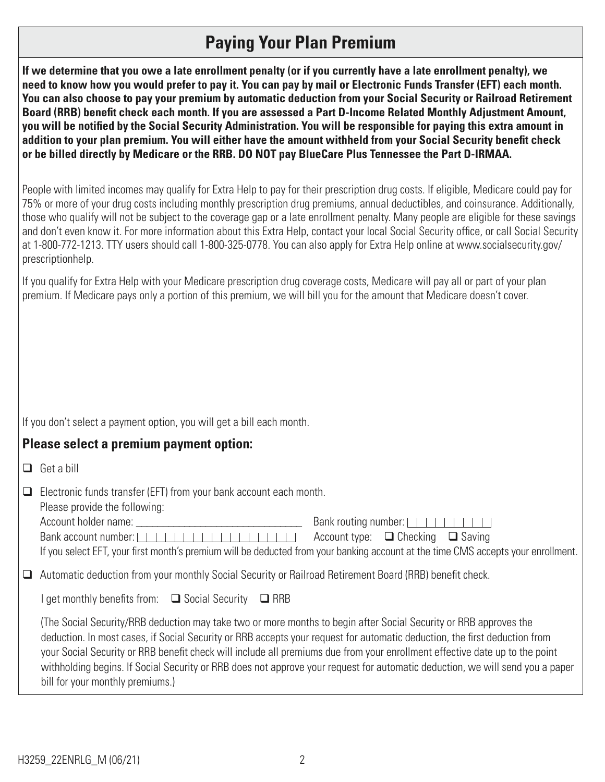# **Paying Your Plan Premium**

**If we determine that you owe a late enrollment penalty (or if you currently have a late enrollment penalty), we need to know how you would prefer to pay it. You can pay by mail or Electronic Funds Transfer (EFT) each month. You can also choose to pay your premium by automatic deduction from your Social Security or Railroad Retirement Board (RRB) benefit check each month. If you are assessed a Part D-Income Related Monthly Adjustment Amount, you will be notified by the Social Security Administration. You will be responsible for paying this extra amount in addition to your plan premium. You will either have the amount withheld from your Social Security benefit check or be billed directly by Medicare or the RRB. DO NOT pay BlueCare Plus Tennessee the Part D-IRMAA.** 

People with limited incomes may qualify for Extra Help to pay for their prescription drug costs. If eligible, Medicare could pay for 75% or more of your drug costs including monthly prescription drug premiums, annual deductibles, and coinsurance. Additionally, those who qualify will not be subject to the coverage gap or a late enrollment penalty. Many people are eligible for these savings and don't even know it. For more information about this Extra Help, contact your local Social Security office, or call Social Security at 1-800-772-1213. TTY users should call 1-800-325-0778. You can also apply for Extra Help online at www.socialsecurity.gov/ prescriptionhelp.

If you qualify for Extra Help with your Medicare prescription drug coverage costs, Medicare will pay all or part of your plan premium. If Medicare pays only a portion of this premium, we will bill you for the amount that Medicare doesn't cover.

If you don't select a payment option, you will get a bill each month.

### **Please select a premium payment option:**

| $\Box$ | Electronic funds transfer (EFT) from your bank account each month.<br>Please provide the following:                                                                                                                                                                                                                                                                                                                                                                                                                                                                                                                   |                                             |  |  |  |  |  |
|--------|-----------------------------------------------------------------------------------------------------------------------------------------------------------------------------------------------------------------------------------------------------------------------------------------------------------------------------------------------------------------------------------------------------------------------------------------------------------------------------------------------------------------------------------------------------------------------------------------------------------------------|---------------------------------------------|--|--|--|--|--|
|        | Account holder name: Account bolder name:<br>Bank account number: $ $ $ $ $ $ $ $ $ $ $ $ $ $<br>--------------                                                                                                                                                                                                                                                                                                                                                                                                                                                                                                       | Account type: $\Box$ Checking $\Box$ Saving |  |  |  |  |  |
|        | If you select EFT, your first month's premium will be deducted from your banking account at the time CMS accepts your enrollment.<br>$\Box$ Automatic deduction from your monthly Social Security or Railroad Retirement Board (RRB) benefit check.                                                                                                                                                                                                                                                                                                                                                                   |                                             |  |  |  |  |  |
|        | get monthly benefits from: $\Box$ Social Security<br>$\Box$ RRB<br>The Social Security/RRB deduction may take two or more months to begin after Social Security or RRB approves the<br>deduction. In most cases, if Social Security or RRB accepts your request for automatic deduction, the first deduction from<br>your Social Security or RRB benefit check will include all premiums due from your enrollment effective date up to the point<br>withholding begins. If Social Security or RRB does not approve your request for automatic deduction, we will send you a paper<br>bill for your monthly premiums.) |                                             |  |  |  |  |  |
|        |                                                                                                                                                                                                                                                                                                                                                                                                                                                                                                                                                                                                                       |                                             |  |  |  |  |  |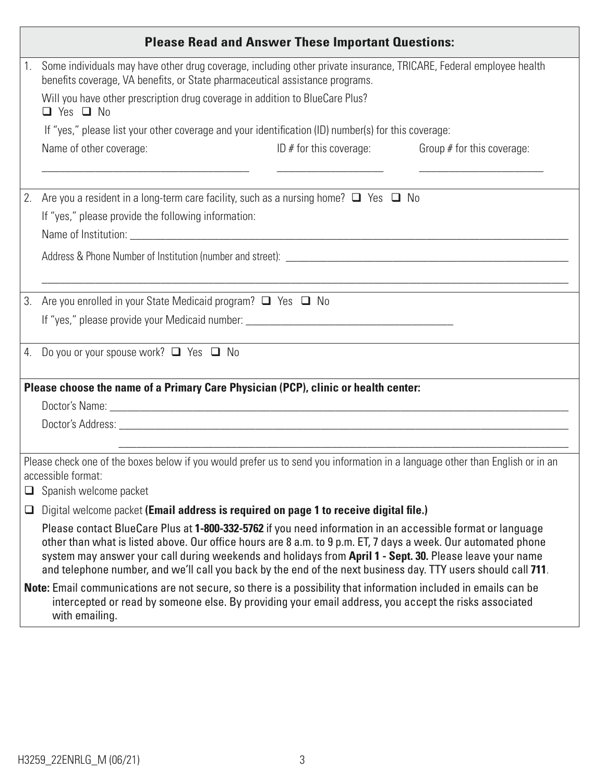| <b>Please Read and Answer These Important Questions:</b> |                                                                                                                                                                                                                                                                                                                                                                                                                                                          |  |  |  |  |  |
|----------------------------------------------------------|----------------------------------------------------------------------------------------------------------------------------------------------------------------------------------------------------------------------------------------------------------------------------------------------------------------------------------------------------------------------------------------------------------------------------------------------------------|--|--|--|--|--|
| 1.                                                       | Some individuals may have other drug coverage, including other private insurance, TRICARE, Federal employee health<br>benefits coverage, VA benefits, or State pharmaceutical assistance programs.                                                                                                                                                                                                                                                       |  |  |  |  |  |
|                                                          | Will you have other prescription drug coverage in addition to BlueCare Plus?<br>$\Box$ Yes $\Box$ No                                                                                                                                                                                                                                                                                                                                                     |  |  |  |  |  |
|                                                          | If "yes," please list your other coverage and your identification (ID) number(s) for this coverage:                                                                                                                                                                                                                                                                                                                                                      |  |  |  |  |  |
|                                                          | Name of other coverage:<br>ID $#$ for this coverage: Group $#$ for this coverage:                                                                                                                                                                                                                                                                                                                                                                        |  |  |  |  |  |
| 2.                                                       | Are you a resident in a long-term care facility, such as a nursing home? $\Box$ Yes $\Box$ No<br>If "yes," please provide the following information:                                                                                                                                                                                                                                                                                                     |  |  |  |  |  |
|                                                          |                                                                                                                                                                                                                                                                                                                                                                                                                                                          |  |  |  |  |  |
|                                                          |                                                                                                                                                                                                                                                                                                                                                                                                                                                          |  |  |  |  |  |
|                                                          |                                                                                                                                                                                                                                                                                                                                                                                                                                                          |  |  |  |  |  |
| 3.                                                       | Are you enrolled in your State Medicaid program? □ Yes □ No                                                                                                                                                                                                                                                                                                                                                                                              |  |  |  |  |  |
|                                                          |                                                                                                                                                                                                                                                                                                                                                                                                                                                          |  |  |  |  |  |
|                                                          | 4. Do you or your spouse work? Q Yes Q No                                                                                                                                                                                                                                                                                                                                                                                                                |  |  |  |  |  |
|                                                          | Please choose the name of a Primary Care Physician (PCP), clinic or health center:                                                                                                                                                                                                                                                                                                                                                                       |  |  |  |  |  |
|                                                          |                                                                                                                                                                                                                                                                                                                                                                                                                                                          |  |  |  |  |  |
|                                                          |                                                                                                                                                                                                                                                                                                                                                                                                                                                          |  |  |  |  |  |
|                                                          |                                                                                                                                                                                                                                                                                                                                                                                                                                                          |  |  |  |  |  |
|                                                          | Please check one of the boxes below if you would prefer us to send you information in a language other than English or in an<br>accessible format:                                                                                                                                                                                                                                                                                                       |  |  |  |  |  |
| ❏                                                        | Spanish welcome packet                                                                                                                                                                                                                                                                                                                                                                                                                                   |  |  |  |  |  |
| ❏                                                        | Digital welcome packet (Email address is required on page 1 to receive digital file.)                                                                                                                                                                                                                                                                                                                                                                    |  |  |  |  |  |
|                                                          | Please contact BlueCare Plus at 1-800-332-5762 if you need information in an accessible format or language<br>other than what is listed above. Our office hours are 8 a.m. to 9 p.m. ET, 7 days a week. Our automated phone<br>system may answer your call during weekends and holidays from April 1 - Sept. 30. Please leave your name<br>and telephone number, and we'll call you back by the end of the next business day. TTY users should call 711. |  |  |  |  |  |
|                                                          | Note: Email communications are not secure, so there is a possibility that information included in emails can be<br>intercepted or read by someone else. By providing your email address, you accept the risks associated<br>with emailing.                                                                                                                                                                                                               |  |  |  |  |  |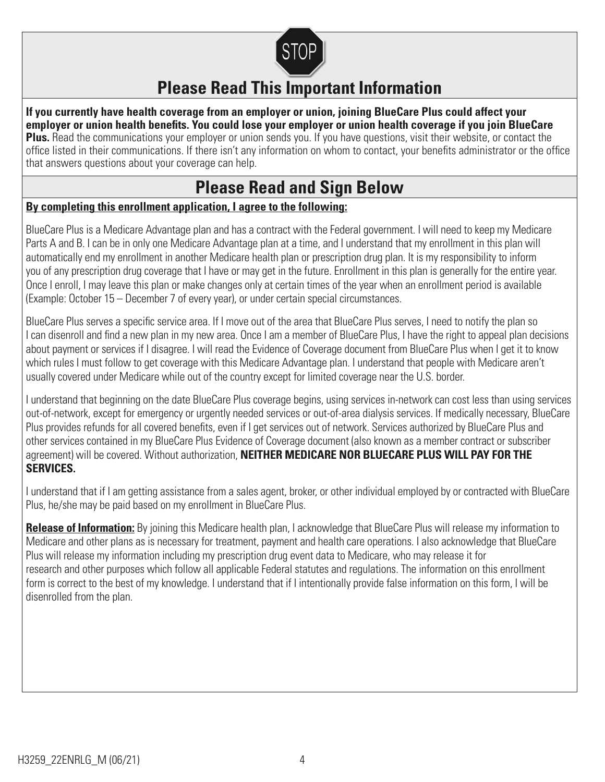

# **Please Read This Important Information**

**If you currently have health coverage from an employer or union, joining BlueCare Plus could affect your employer or union health benefits. You could lose your employer or union health coverage if you join BlueCare Plus.** Read the communications your employer or union sends you. If you have questions, visit their website, or contact the office listed in their communications. If there isn't any information on whom to contact, your benefits administrator or the office that answers questions about your coverage can help.

## **Please Read and Sign Below**

#### **By completing this enrollment application, I agree to the following:**

BlueCare Plus is a Medicare Advantage plan and has a contract with the Federal government. I will need to keep my Medicare Parts A and B. I can be in only one Medicare Advantage plan at a time, and I understand that my enrollment in this plan will automatically end my enrollment in another Medicare health plan or prescription drug plan. It is my responsibility to inform you of any prescription drug coverage that I have or may get in the future. Enrollment in this plan is generally for the entire year. Once I enroll, I may leave this plan or make changes only at certain times of the year when an enrollment period is available (Example: October 15 – December 7 of every year), or under certain special circumstances.

BlueCare Plus serves a specific service area. If I move out of the area that BlueCare Plus serves, I need to notify the plan so I can disenroll and find a new plan in my new area. Once I am a member of BlueCare Plus, I have the right to appeal plan decisions about payment or services if I disagree. I will read the Evidence of Coverage document from BlueCare Plus when I get it to know which rules I must follow to get coverage with this Medicare Advantage plan. I understand that people with Medicare aren't usually covered under Medicare while out of the country except for limited coverage near the U.S. border.

I understand that beginning on the date BlueCare Plus coverage begins, using services in-network can cost less than using services out-of-network, except for emergency or urgently needed services or out-of-area dialysis services. If medically necessary, BlueCare Plus provides refunds for all covered benefits, even if I get services out of network. Services authorized by BlueCare Plus and other services contained in my BlueCare Plus Evidence of Coverage document (also known as a member contract or subscriber agreement) will be covered. Without authorization, **NEITHER MEDICARE NOR BLUECARE PLUS WILL PAY FOR THE SERVICES.** 

I understand that if I am getting assistance from a sales agent, broker, or other individual employed by or contracted with BlueCare Plus, he/she may be paid based on my enrollment in BlueCare Plus.

**Release of Information:** By joining this Medicare health plan, I acknowledge that BlueCare Plus will release my information to Medicare and other plans as is necessary for treatment, payment and health care operations. I also acknowledge that BlueCare Plus will release my information including my prescription drug event data to Medicare, who may release it for research and other purposes which follow all applicable Federal statutes and regulations. The information on this enrollment form is correct to the best of my knowledge. I understand that if I intentionally provide false information on this form, I will be disenrolled from the plan.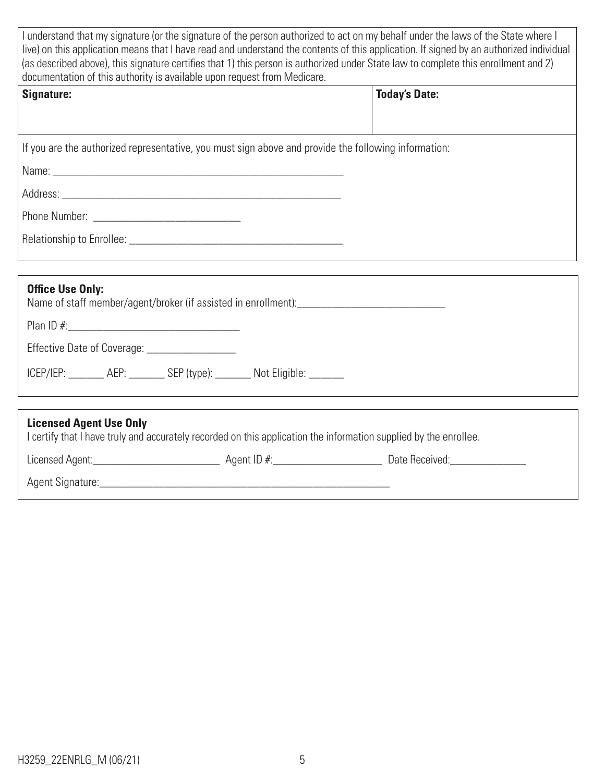| I understand that my signature (or the signature of the person authorized to act on my behalf under the laws of the State where I<br>live) on this application means that I have read and understand the contents of this application. If signed by an authorized individual<br>(as described above), this signature certifies that 1) this person is authorized under State law to complete this enrollment and 2)<br>documentation of this authority is available upon request from Medicare. |                      |  |  |  |  |
|-------------------------------------------------------------------------------------------------------------------------------------------------------------------------------------------------------------------------------------------------------------------------------------------------------------------------------------------------------------------------------------------------------------------------------------------------------------------------------------------------|----------------------|--|--|--|--|
| Signature:                                                                                                                                                                                                                                                                                                                                                                                                                                                                                      | <b>Today's Date:</b> |  |  |  |  |
|                                                                                                                                                                                                                                                                                                                                                                                                                                                                                                 |                      |  |  |  |  |
| If you are the authorized representative, you must sign above and provide the following information:                                                                                                                                                                                                                                                                                                                                                                                            |                      |  |  |  |  |
|                                                                                                                                                                                                                                                                                                                                                                                                                                                                                                 |                      |  |  |  |  |
|                                                                                                                                                                                                                                                                                                                                                                                                                                                                                                 |                      |  |  |  |  |
|                                                                                                                                                                                                                                                                                                                                                                                                                                                                                                 |                      |  |  |  |  |
|                                                                                                                                                                                                                                                                                                                                                                                                                                                                                                 |                      |  |  |  |  |
|                                                                                                                                                                                                                                                                                                                                                                                                                                                                                                 |                      |  |  |  |  |
| <b>Office Use Only:</b>                                                                                                                                                                                                                                                                                                                                                                                                                                                                         |                      |  |  |  |  |
|                                                                                                                                                                                                                                                                                                                                                                                                                                                                                                 |                      |  |  |  |  |
| Effective Date of Coverage: _________________                                                                                                                                                                                                                                                                                                                                                                                                                                                   |                      |  |  |  |  |
| ICEP/IEP: _______ AEP: _______ SEP (type): ______ Not Eligible: ______                                                                                                                                                                                                                                                                                                                                                                                                                          |                      |  |  |  |  |
|                                                                                                                                                                                                                                                                                                                                                                                                                                                                                                 |                      |  |  |  |  |
| <b>Licensed Agent Use Only</b><br>I certify that I have truly and accurately recorded on this application the information supplied by the enrollee.                                                                                                                                                                                                                                                                                                                                             |                      |  |  |  |  |
|                                                                                                                                                                                                                                                                                                                                                                                                                                                                                                 |                      |  |  |  |  |
|                                                                                                                                                                                                                                                                                                                                                                                                                                                                                                 |                      |  |  |  |  |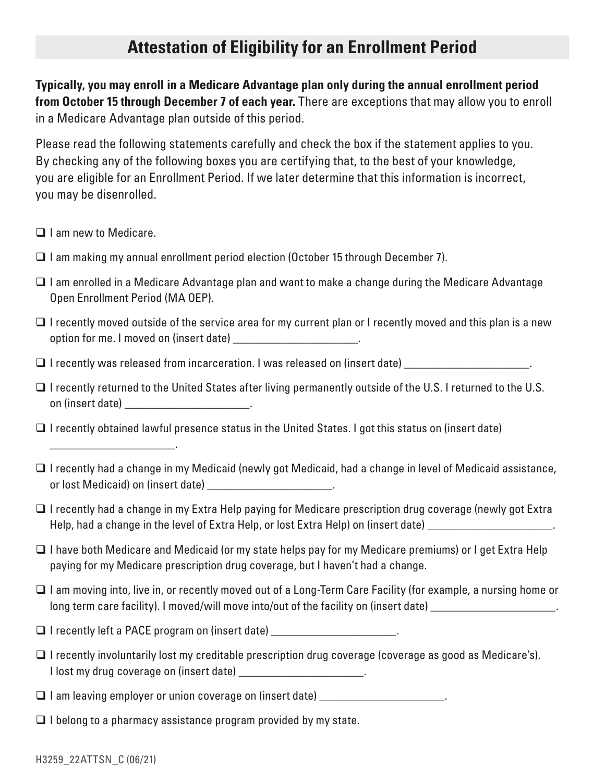# **Attestation of Eligibility for an Enrollment Period**

**Typically, you may enroll in a Medicare Advantage plan only during the annual enrollment period from October 15 through December 7 of each year.** There are exceptions that may allow you to enroll in a Medicare Advantage plan outside of this period.

Please read the following statements carefully and check the box if the statement applies to you. By checking any of the following boxes you are certifying that, to the best of your knowledge, you are eligible for an Enrollment Period. If we later determine that this information is incorrect, you may be disenrolled.

 $\Box$  I am new to Medicare.

\_\_\_\_\_\_\_\_\_\_\_\_\_\_\_\_\_\_\_\_\_\_ .

- $\Box$  I am making my annual enrollment period election (October 15 through December 7).
- $\Box$  I am enrolled in a Medicare Advantage plan and want to make a change during the Medicare Advantage Open Enrollment Period (MA OEP).
- $\Box$  I recently moved outside of the service area for my current plan or I recently moved and this plan is a new option for me. I moved on (insert date) \_\_\_\_\_\_\_\_\_\_\_\_\_\_\_\_\_\_\_\_\_\_\_\_\_\_.
- $\Box$  I recently was released from incarceration. I was released on (insert date) \_\_\_\_\_\_\_\_\_\_\_\_\_\_\_\_\_\_\_\_\_\_\_.
- $\Box$  I recently returned to the United States after living permanently outside of the U.S. I returned to the U.S. on (insert date) \_\_\_\_\_\_\_\_\_\_\_\_\_\_\_\_\_\_\_\_\_\_ .
- $\Box$  I recently obtained lawful presence status in the United States. I got this status on (insert date)
- $\Box$  I recently had a change in my Medicaid (newly got Medicaid, had a change in level of Medicaid assistance, or lost Medicaid) on (insert date) example the control of  $\sim$
- $\Box$  I recently had a change in my Extra Help paying for Medicare prescription drug coverage (newly got Extra Help, had a change in the level of Extra Help, or lost Extra Help) on (insert date) \_\_\_\_\_\_\_\_\_\_\_\_\_\_\_\_\_\_\_\_\_\_\_\_.
- $\Box$  I have both Medicare and Medicaid (or my state helps pay for my Medicare premiums) or I get Extra Help paying for my Medicare prescription drug coverage, but I haven't had a change.
- $\Box$  I am moving into, live in, or recently moved out of a Long-Term Care Facility (for example, a nursing home or long term care facility). I moved/will move into/out of the facility on (insert date) \_\_\_\_\_\_\_\_\_\_\_\_\_\_\_\_\_\_\_\_\_\_\_\_
- $\Box$  I recently left a PACE program on (insert date)  $\Box$
- $\Box$  I recently involuntarily lost my creditable prescription drug coverage (coverage as good as Medicare's). I lost my drug coverage on (insert date)  $\qquad \qquad \ldots$
- $\Box$  I am leaving employer or union coverage on (insert date)  $\Box$
- $\Box$  I belong to a pharmacy assistance program provided by my state.